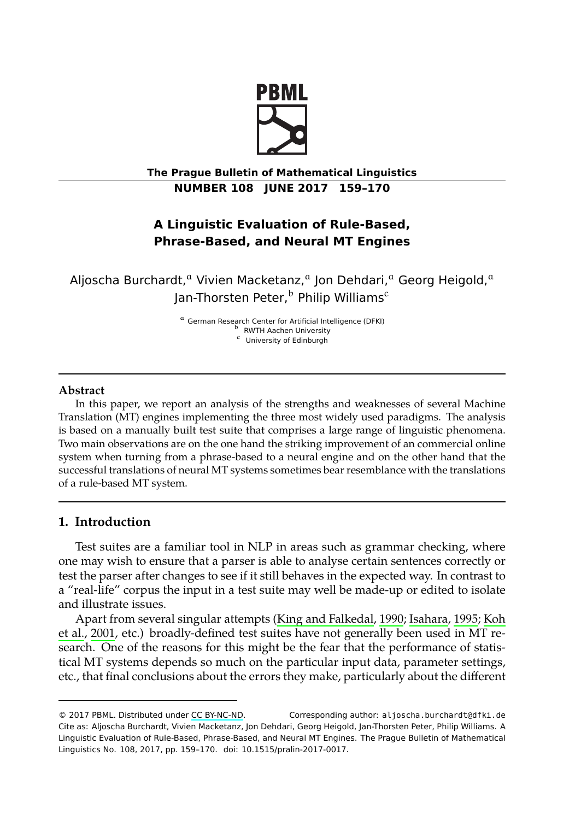

**The Prague Bulletin of Mathematical Linguistics NUMBER 108 JUNE 2017 159–170**

# **A Linguistic Evaluation of Rule-Based, Phrase-Based, and Neural MT Engines**

Aljoscha Burchardt,<sup>a</sup> Vivien Macketanz,<sup>a</sup> Jon Dehdari,<sup>a</sup> Georg Heigold,<sup>a</sup> Jan-Thorsten Peter,<sup>b</sup> Philip Williams<sup>c</sup>

> <sup>a</sup> German Research Center for Artificial Intelligence (DFKI) RWTH Aachen University <sup>c</sup> University of Edinburgh

### <span id="page-0-0"></span>**Abstract**

In this paper, we report an analysis of the strengths and weaknesses of several Machine Translation (MT) engines implementing the three most widely used paradigms. The analysis is based on a manually built test suite that comprises a large range of linguistic phenomena. Two main observations are on the one hand the striking improvement of an commercial online system when turning from a phrase-based to a neural engine and on the other hand that the successful translations of neural MT systems s[ometimes bear resemblance](#page-11-0) [with the](#page-11-1) t[ransla](#page-11-1)[tions](#page-11-2) [of a rule-bas](#page-11-2)ed MT system.

## **1. Introduction**

Test suites are a familiar tool in NLP in areas such as grammar checking, where one may wish to ensure that a parser is able to analyse certain sentences correctly or test the parser after chan[ges to see if](http://creativecommons.org/licenses/by-nc-nd/3.0/) it still behaves in the expected way. In contrast to a "real-life" corpus the input in a test suite may well be made-up or edited to isolate and illustrate issues.

Apart from several singular attempts (King and Falkedal, 1990; Isahara, 1995; Koh et al., 2001, etc.) broadly-defined test suites have not generally been used in MT research. One of the reasons for this might be the fear that the performance of statistical MT systems depends so much on the particular input data, parameter settings, etc., that final conclusions about the errors they make, particularly about the different

<sup>© 2017</sup> PBML. Distributed under CC BY-NC-ND. Corresponding author: aljoscha.burchardt@dfki.de Cite as: Aljoscha Burchardt, Vivien Macketanz, Jon Dehdari, Georg Heigold, Jan-Thorsten Peter, Philip Williams. A Linguistic Evaluation of Rule-Based, Phrase-Based, and Neural MT Engines. The Prague Bulletin of Mathematical Linguistics No. 108, 2017, pp. 159–170. doi: 10.1515/pralin-2017-0017.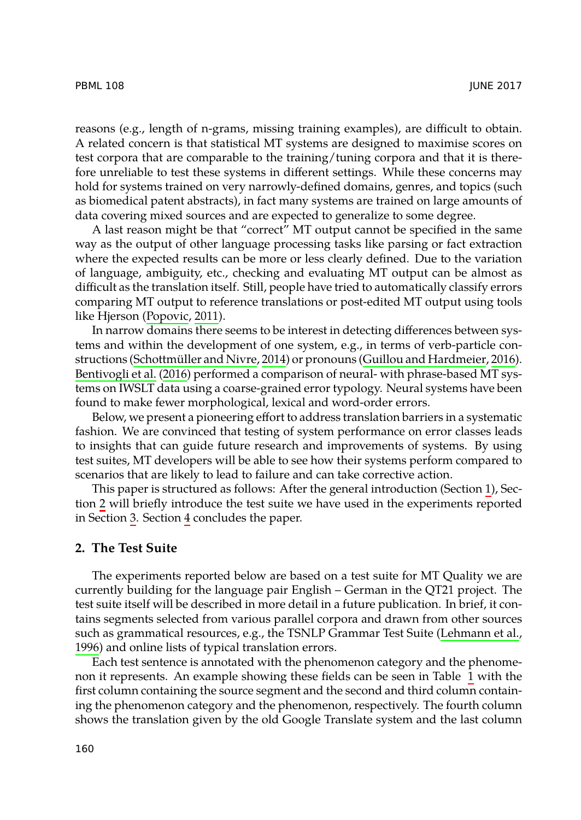reasons (e.g., length of n-grams, missing training examples), are difficult to obtain. A related concern is that statistical MT systems are designed to maximise scores on test corpora that are comparable to the training/tuning corpora and that it is therefore unreliable to test these systems in different settings. While these concerns may hold for syst[ems trained on](#page-11-3) very narrowly-defined domains, genres, and topics (such as biomedical patent abstracts), in fact many systems are trained on large amounts of data covering mixed sources and are expected to generalize to some degree.

A last r[eason might be that "correct"](#page-11-4) MT output c[annot be specified in the sam](#page-10-0)e [way as the output of](#page-10-1) other language processing tasks like parsing or fact extraction where the expected results can be more or less clearly defined. Due to the variation of language, ambiguity, etc., checking and evaluating MT output can be almost as difficult as the translation itself. Still, people have tried to automatically classify errors comparing MT output to reference translations or post-edited MT output using tools like Hjerson (Popovic, 2011).

In narrow domains there seems to be interest in detecting differences between systems and within the development of one system, e.g., in terms of verb-parti[cle](#page-0-0) constructions (Schottmüller and Nivre, 2014) or pronouns (Guillou and Hardmeier, 2016). Bent[iv](#page-1-0)ogli et al. (2016) performed a comparison of neural- with phrase-based MT systems on I[WS](#page-2-0)LT data [us](#page-10-2)ing a coarse-grained error typology. Neural systems have been found to make fewer morphological, lexical and word-order errors.

<span id="page-1-0"></span>Below, we present a pioneering effort to address translation barriers in a systematic fashion. We are convinced that testing of system performance on error classes leads to insights that can guide future research and improvements of systems. By using test suites, MT developers will be able to see how their systems perform compared to scenarios that are likely to lead to failure and can take corrective action.

This paper is structured as follows: After the general introduction (Section 1), Section 2 will briefly introduce the test suite we have used in the exper[iments reported](#page-11-5) [in Se](#page-11-5)ction 3. Section 4 concludes the paper.

## **2. The Test Suite**

The experiments reported below are based on a test suite for MT Quality we are currently building for the language pair English – German in the QT21 project. The test suite itself will be described in more detail in a future publication. In brief, it contains segments selected from various parallel corpora and drawn from other sources such as grammatical resources, e.g., the TSNLP Grammar Test Suite (Lehmann et al., 1996) and online lists of typical translation errors.

Each test sentence is annotated with the phenomenon category and the phenomenon it represents. An example showing these fields can be seen in Table 1 with the first column containing the source segment and the second and third column containing the phenomenon category and the phenomenon, respectively. The fourth column shows the translation given by the old Google Translate system and the last column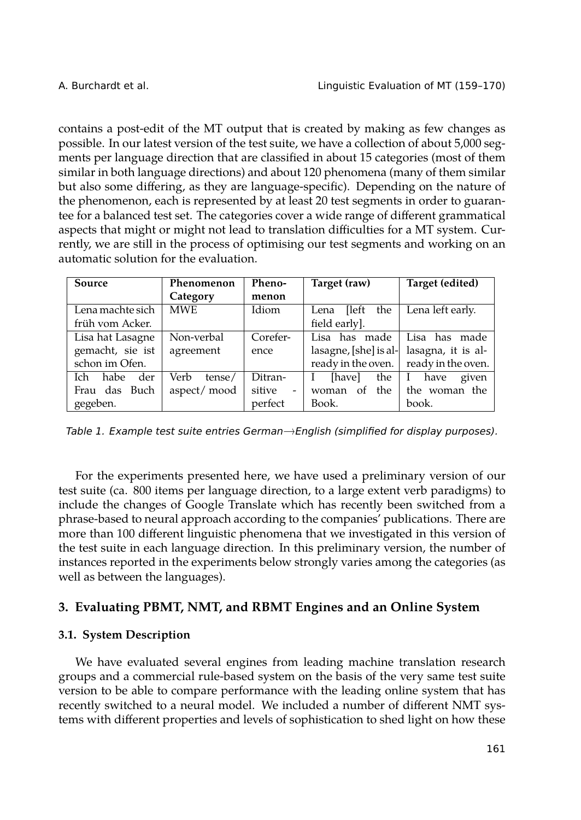contains a post-edit of the MT output that is created by making as few changes as possible. In our latest version of the test suite, we have a collection of about 5,000 segments per language direction that are classified in about 15 categories (most of them similar in both language directions) and about 120 phenomena (many of them similar but also some differing, as they are language-specific). Depending on the nature of the phenomenon, each is represented by at least 20 test segments in order to guarantee for a balanced test set. The categories cover a wide range of different grammatical aspects that might or might not lead to translation difficulties for a MT system. Currently, we are still in the process of optimising our test segments and working on an automatic solution for the evaluation.

<span id="page-2-1"></span>

| Source              | Phenomenon     | Pheno-   | Target (raw)          | Target (edited)    |
|---------------------|----------------|----------|-----------------------|--------------------|
|                     | Category       | menon    |                       |                    |
| Lena machte sich    | <b>MWE</b>     | Idiom    | [left]<br>the<br>Lena | Lena left early.   |
| früh vom Acker.     |                |          | field early].         |                    |
| Lisa hat Lasagne    | Non-verbal     | Corefer- | Lisa has made         | Lisa has made      |
| gemacht, sie ist    | agreement      | ence     | lasagne, [she] is al- | lasagna, it is al- |
| schon im Ofen.      |                |          | ready in the oven.    | ready in the oven. |
| habe<br>der<br>Ich. | Verb<br>tense/ | Ditran-  | [have]<br>the         | given<br>have      |
| Frau das Buch       | aspect/mood    | sitive   | the<br>of<br>woman    | the woman the      |
| gegeben.            |                | perfect  | Book.                 | book.              |

*Table 1. Example test suite entries German*→*English (simplified for display purposes).*

For the experiments presented here, we have used a preliminary version of our test suite (ca. 800 items per language direction, to a large extent verb paradigms) to include the changes of Google Translate which has recently been switched from a phrase-based to neural approach according to the companies' publications. There are more than 100 different linguistic phenomena that we investigated in this version of the test suite in each language direction. In this preliminary version, the number of instances reported in the experiments below strongly varies among the categories (as well as between the languages).

# <span id="page-2-0"></span>**3. Evaluating PBMT, NMT, and RBMT Engines and an Online System**

## **3.1. System Description**

We have evaluated several engines from leading machine translation research groups and a commercial rule-based system on the basis of the very same test suite version to be able to compare performance with the leading online system that has recently switched to a neural model. We included a number of different NMT systems with different properties and levels of sophistication to shed light on how these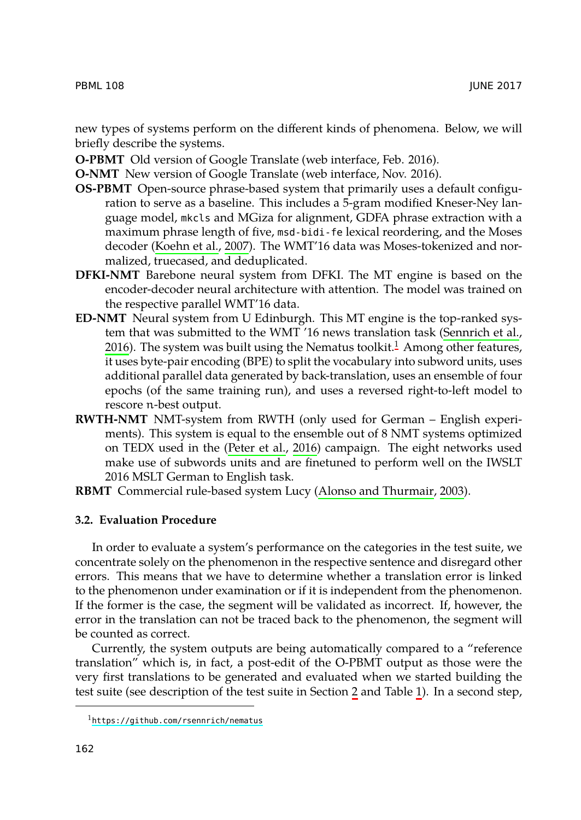new types of systems perform on the different kinds of phenomena. Below, we will briefly describe the systems.

**O-PBMT** Old version of Google Translate (web interface, Feb. 2016).

**O-NMT** New version of Google Translate (web interface, Nov. 2016).

- **OS-PBMT** Open-source phrase-based system that primarily uses a default configuration to serve as a baseline. This includes a 5-gram [mo](#page-3-0)dified [Kneser-Ney lan](#page-11-6)[guag](#page-11-6)e model, mkcls and MGiza for alignment, GDFA phrase extraction with a maximum phrase length of five, msd-bidi-fe lexical reordering, and the Moses decoder (Koehn et al., 2007). The WMT'16 data was Moses-tokenized and normalized, truecased, and deduplicated.
- **DFKI-NMT** Barebone neural system from DFKI. The MT engine is based on the encoder-decoder neural architecture with attention. The model was trained on the respective parallel WMT'16 data.
- **ED-NMT** Neural system fr[om U Edinburgh.](#page-11-7) This MT engine is the top-ranked system that was submitted to the WMT '16 news translation task (Sennrich et al., 2016). The system was built using the Nematus toolkit.<sup>1</sup> Among other features, it uses byte-pair encoding (BPE) to split t[he vocabulary into subword](#page-10-3) units, uses additional parallel data generated by back-translation, uses an ensemble of four epochs (of the same training run), and uses a reversed right-to-left model to rescore n-best output.
- **RWTH-NMT** NMT-system from RWTH (only used for German English experiments). This system is equal to the ensemble out of 8 NMT systems optimized on TEDX used in the (Peter et al., 2016) campaign. The eight networks used make use of subwords units and are finetuned to perform well on the IWSLT 2016 MSLT German to English task.

**RBMT** Commercial rule-based system Lucy (Alonso and Thurmair, 2003).

## **3.2. Evaluation Procedure**

<span id="page-3-0"></span>In order to evaluate a system's performance on the categories in the test suite, we concentrate solely on the phenomenon in the respect[iv](#page-1-0)e sentence [a](#page-2-1)nd disregard other errors. This means that we have to determine whether a translation error is linked to [the phenomenon under examinat](https://github.com/rsennrich/nematus)ion or if it is independent from the phenomenon. If the former is the case, the segment will be validated as incorrect. If, however, the error in the translation can not be traced back to the phenomenon, the segment will be counted as correct.

Currently, the system outputs are being automatically compared to a "reference translation" which is, in fact, a post-edit of the O-PBMT output as those were the very first translations to be generated and evaluated when we started building the test suite (see description of the test suite in Section 2 and Table 1). In a second step,

<sup>1</sup>https://github.com/rsennrich/nematus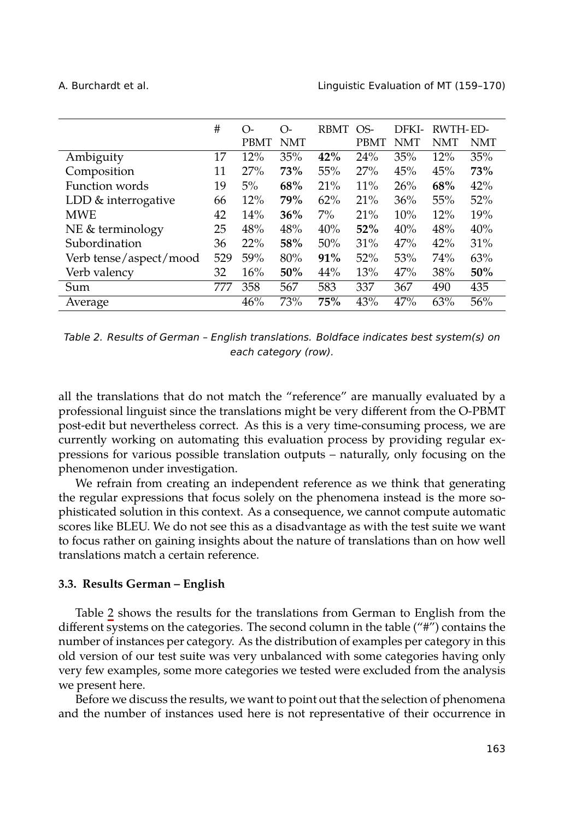A. Burchardt et al. Linguistic Evaluation of MT (159–170)

<span id="page-4-0"></span>

|                        | #   | O-          | $\Omega$ - | <b>RBMT</b> | OS-         | DFKI- | RWTH-ED- |            |
|------------------------|-----|-------------|------------|-------------|-------------|-------|----------|------------|
|                        |     | <b>PBMT</b> | <b>NMT</b> |             | <b>PBMT</b> | NMT   | NMT      | <b>NMT</b> |
| Ambiguity              | 17  | 12%         | 35%        | 42%         | 24%         | 35%   | 12%      | 35%        |
| Composition            | 11  | 27%         | 73%        | 55%         | 27%         | 45%   | 45%      | 73%        |
| Function words         | 19  | 5%          | 68%        | 21%         | 11%         | 26%   | 68%      | 42%        |
| LDD & interrogative    | 66  | 12%         | <b>79%</b> | 62%         | 21%         | 36%   | 55%      | 52%        |
| <b>MWE</b>             | 42  | 14%         | 36%        | $7\%$       | 21%         | 10%   | 12%      | 19%        |
| NE & terminology       | 25  | 48%         | 48%        | 40%         | 52%         | 40%   | 48%      | 40%        |
| Subordination          | 36  | 22%         | 58%        | 50%         | 31%         | 47%   | 42%      | 31%        |
| Verb tense/aspect/mood | 529 | 59%         | 80%        | 91%         | 52%         | 53%   | 74%      | 63%        |
| Verb valency           | 32  | 16%         | 50%        | 44%         | 13%         | 47%   | 38%      | 50%        |
| Sum                    | 777 | 358         | 567        | 583         | 337         | 367   | 490      | 435        |
| Average                |     | 46%         | 73%        | 75%         | 43%         | 47%   | 63%      | 56%        |

*Table 2. Results of German – English translations. Boldface indicates best system(s) on each category (row).*

all the translations that do not match the "reference" are manually evaluated by a professional linguist since the translations might be very different from the O-PBMT post-edit but nevertheless correct. As this is a very time-consuming process, we are currently working on automating this evaluation process by providing regular expressions for various possible translation outputs – naturally, only focusing on the phenomenon under investigation.

We re[fr](#page-4-0)ain from creating an independent reference as we think that generating the regular expressions that focus solely on the phenomena instead is the more sophisticated solution in this context. As a consequence, we cannot compute automatic scores like BLEU. We do not see this as a disadvantage as with the test suite we want to focus rather on gaining insights about the nature of translations than on how well translations match a certain reference.

#### **3.3. Results German – English**

Table 2 shows the results for the translations from German to English from the different systems on the categories. The second column in the table ("#") contains the number of instances per category. As the distribution of examples per category in this old version of our test suite was very unbalanced with some categories having only very few examples, some more categories we tested were excluded from the analysis we present here.

Before we discuss the results, we want to point out that the selection of phenomena and the number of instances used here is not representative of their occurrence in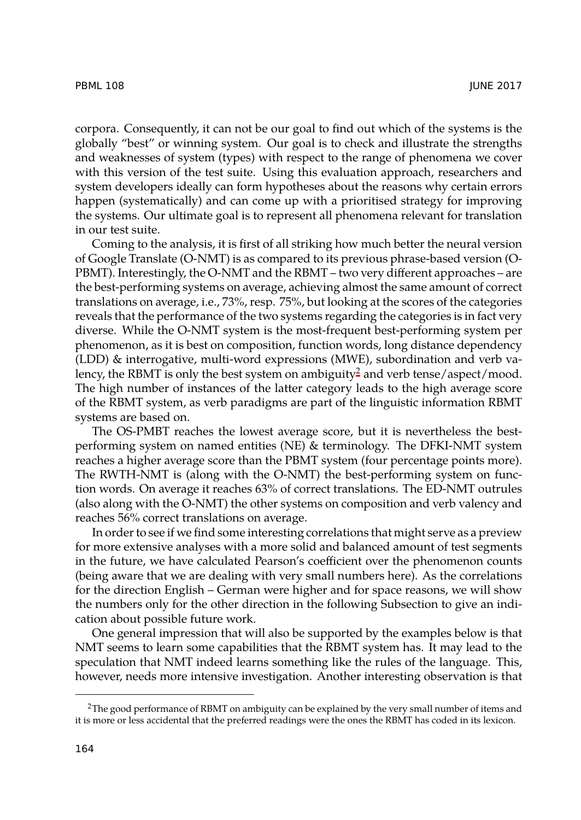corpora. Consequently, it can not be our goal to find out which of the systems is the globally "best" or winning system. Our goal is to check and illustrate the strengths and weaknesses of system (types) with respect to the range of phenomena we cover with this version of the test suite. Using this evaluation approach, researchers and system developers ideally can form hypotheses about the reasons why certain errors happen (systematically) and can come up with a prioritised strategy for improving the systems. Our ultimate goal is to represent all phenomena relevant for translation in our test suite.

Coming to the analysis, it is first of all striking ho[w](#page-5-0) much better the neural version of Google Translate (O-NMT) is as compared to its previous phrase-based version (O-PBMT). Interestingly, the O-NMT and the RBMT – two very different approaches – are the best-performing systems on average, achieving almost the same amount of correct translations on average, i.e., 73%, resp. 75%, but looking at the scores of the categories reveals that the performance of the two systems regarding the categories is in fact very diverse. While the O-NMT system is the most-frequent best-performing system per phenomenon, as it is best on composition, function words, long distance dependency (LDD) & interrogative, multi-word expressions (MWE), subordination and verb valency, the RBMT is only the best system on ambiguity<sup>2</sup> and verb tense/aspect/mood. The high number of instances of the latter category leads to the high average score of the RBMT system, as verb paradigms are part of the linguistic information RBMT systems are based on.

The OS-PMBT reaches the lowest average score, but it is nevertheless the bestperforming system on named entities (NE) & terminology. The DFKI-NMT system reaches a higher average score than the PBMT system (four percentage points more). The RWTH-NMT is (along with the O-NMT) the best-performing system on function words. On average it reaches 63% of correct translations. The ED-NMT outrules (also along with the O-NMT) the other systems on composition and verb valency and reaches 56% correct translations on average.

<span id="page-5-0"></span>In order to see if we find some interesting correlations that might serve as a preview for more extensive analyses with a more solid and balanced amount of test segments in the future, we have calculated Pearson's coefficient over the phenomenon counts (being aware that we are dealing with very small numbers here). As the correlations for the direction English – German were higher and for space reasons, we will show the numbers only for the other direction in the following Subsection to give an indication about possible future work.

One general impression that will also be supported by the examples below is that NMT seems to learn some capabilities that the RBMT system has. It may lead to the speculation that NMT indeed learns something like the rules of the language. This, however, needs more intensive investigation. Another interesting observation is that

<sup>&</sup>lt;sup>2</sup>The good performance of RBMT on ambiguity can be explained by the very small number of items and it is more or less accidental that the preferred readings were the ones the RBMT has coded in its lexicon.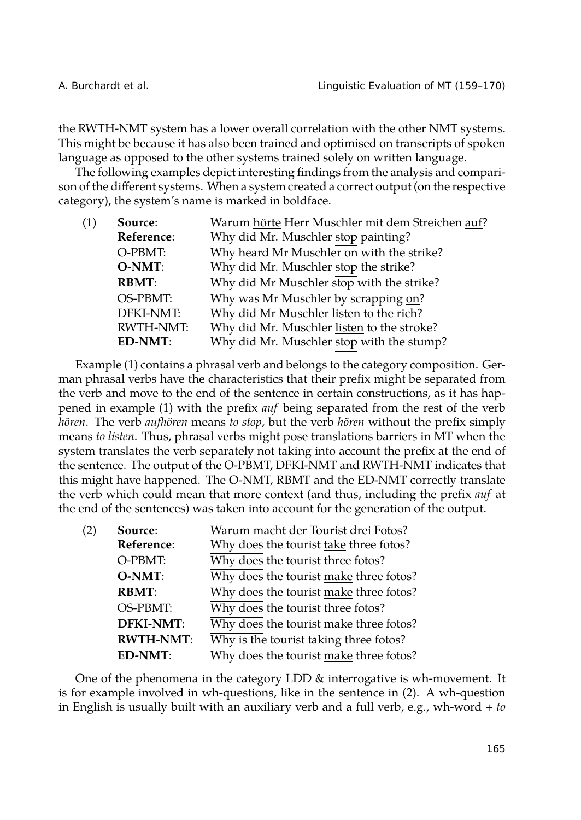the RWTH-NMT system has a lower overall correlation with the other NMT systems. This might be because it has also been trained and optimised on transcripts of spoken language as opposed to the other systems trained solely on written language.

The following examples depict interesting findings from the analysis and comparison of the different systems. When a system created a correct output (on the respective category), the system's name is marked in boldface.

| (1) | Source:          | Warum hörte Herr Muschler mit dem Streichen auf? |
|-----|------------------|--------------------------------------------------|
|     | Reference:       | Why did Mr. Muschler stop painting?              |
|     | O-PBMT:          | Why heard Mr Muschler on with the strike?        |
|     | $O-NMT$ :        | Why did Mr. Muschler stop the strike?            |
|     | <b>RBMT:</b>     | Why did Mr Muschler stop with the strike?        |
|     | OS-PBMT:         | Why was Mr Muschler by scrapping on?             |
|     | <b>DFKI-NMT:</b> | Why did Mr Muschler listen to the rich?          |
|     | <b>RWTH-NMT:</b> | Why did Mr. Muschler listen to the stroke?       |
|     | ED-NMT:          | Why did Mr. Muschler stop with the stump?        |
|     |                  |                                                  |

Example (1) contains a phrasal verb and belongs to the category composition. German phrasal verbs have the characteristics that their prefix might be separated from the verb and move to the end of the sentence in certain constructions, as it has happened in example (1) with the prefix *auf* being separated from the rest of the verb *hören*. The verb *aufhören* means *to stop*, but the verb *hören* without the prefix simply means *to listen*. Thus, phrasal verbs might pose translations barriers in MT when the system translates the verb separately not taking into account the prefix at the end of the sentence. The output of the O-PBMT, DFKI-NMT and RWTH-NMT indicates that this might have happened. The O-NMT, RBMT and the ED-NMT correctly translate the verb which could mean that more context (and thus, including the prefix *auf* at the end of the sentences) was taken into account for the generation of the output.

| (2) | Source:          | Warum macht der Tourist drei Fotos?    |  |  |  |  |
|-----|------------------|----------------------------------------|--|--|--|--|
|     | Reference:       | Why does the tourist take three fotos? |  |  |  |  |
|     | O-PBMT:          | Why does the tourist three fotos?      |  |  |  |  |
|     | O-NMT:           | Why does the tourist make three fotos? |  |  |  |  |
|     | <b>RBMT:</b>     | Why does the tourist make three fotos? |  |  |  |  |
|     | OS-PBMT:         | Why does the tourist three fotos?      |  |  |  |  |
|     | <b>DFKI-NMT:</b> | Why does the tourist make three fotos? |  |  |  |  |
|     | <b>RWTH-NMT:</b> | Why is the tourist taking three fotos? |  |  |  |  |
|     | <b>ED-NMT:</b>   | Why does the tourist make three fotos? |  |  |  |  |

One of the phenomena in the category LDD & interrogative is wh-movement. It is for example involved in wh-questions, like in the sentence in (2). A wh-question in English is usually built with an auxiliary verb and a full verb, e.g., wh-word + *to*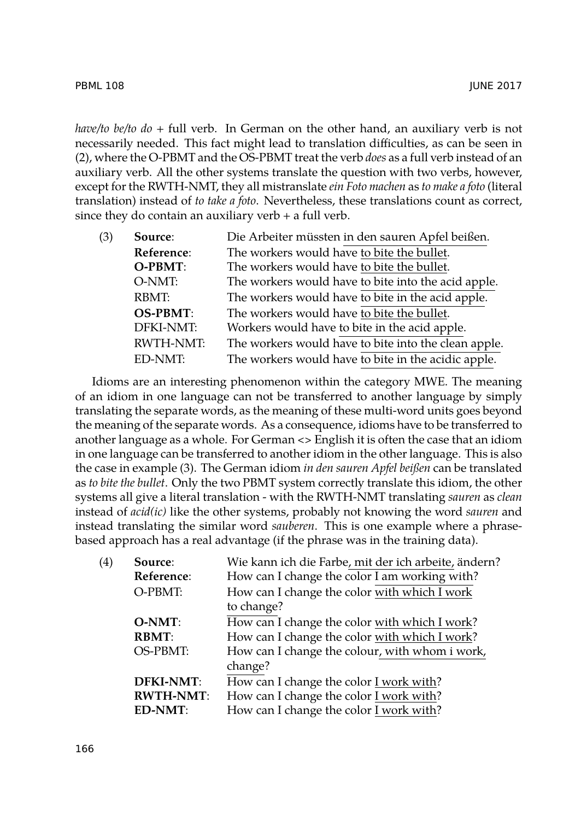*have/to be/to do* + full verb. In German on the other hand, an auxiliary verb is not necessarily needed. This fact might lead to translation difficulties, as can be seen in (2), where the O-PBMT and the OS-PBMT treat the verb *does* as a full verb instead of an auxiliary verb. All the other systems translate the question with two verbs, however, except for the RWTH-NMT, they all mistranslate *ein Foto machen* as *to make a foto* (literal translation) instead of *to take a foto*. Nevertheless, these translations count as correct, since they do contain an auxiliary verb  $+$  a full verb.

| (3) | Source:          | Die Arbeiter müssten in den sauren Apfel beißen.     |
|-----|------------------|------------------------------------------------------|
|     | Reference:       | The workers would have to bite the bullet.           |
|     | O-PBMT:          | The workers would have to bite the bullet.           |
|     | O-NMT:           | The workers would have to bite into the acid apple.  |
|     | RBMT:            | The workers would have to bite in the acid apple.    |
|     | <b>OS-PBMT:</b>  | The workers would have to bite the bullet.           |
|     | DFKI-NMT:        | Workers would have to bite in the acid apple.        |
|     | <b>RWTH-NMT:</b> | The workers would have to bite into the clean apple. |
|     | ED-NMT:          | The workers would have to bite in the acidic apple.  |

Idioms are an interesting phenomenon within the category MWE. The meaning of an idiom in one language can not be transferred to another language by simply translating the separate words, as the meaning of these multi-word units goes beyond the meaning of the separate words. As a consequence, idioms have to be transferred to another language as a whole. For German <> English it is often the case that an idiom in one language can be transferred to another idiom in the other language. This is also the case in example (3). The German idiom *in den sauren Apfel beißen* can be translated as *to bite the bullet*. Only the two PBMT system correctly translate this idiom, the other systems all give a literal translation - with the RWTH-NMT translating *sauren* as *clean* instead of *acid(ic)* like the other systems, probably not knowing the word *sauren* and instead translating the similar word *sauberen*. This is one example where a phrasebased approach has a real advantage (if the phrase was in the training data).

| (4) | Source:          | Wie kann ich die Farbe, mit der ich arbeite, ändern? |
|-----|------------------|------------------------------------------------------|
|     | Reference:       | How can I change the color I am working with?        |
|     | O-PBMT:          | How can I change the color with which I work         |
|     |                  | to change?                                           |
|     | $O-NMT$ :        | How can I change the color with which I work?        |
|     | <b>RBMT:</b>     | How can I change the color with which I work?        |
|     | OS-PBMT:         | How can I change the colour, with whom i work,       |
|     |                  | change?                                              |
|     | <b>DFKI-NMT:</b> | How can I change the color I work with?              |
|     | <b>RWTH-NMT:</b> | How can I change the color I work with?              |
|     | <b>ED-NMT:</b>   | How can I change the color I work with?              |
|     |                  |                                                      |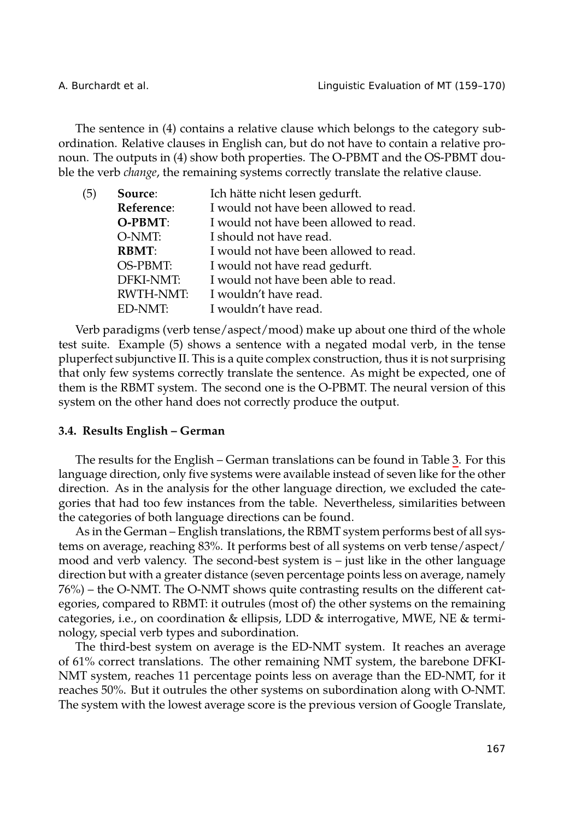A. Burchardt et al. Linguistic Evaluation of MT (159–170)

The sentence in (4) contains a relative clause which belongs to the category subordination. Relative clauses in English can, but do not have to contain a relative pronoun. The outputs in (4) show both properties. The O-PBMT and the OS-PBMT double the verb *change*, the remaining systems correctly translate the relative clause.

| (5) | Source:          | Ich hätte nicht lesen gedurft.         |
|-----|------------------|----------------------------------------|
|     | Reference:       | I would not have been allowed to read. |
|     | O-PBMT:          | I would not have been allowed to read. |
|     | O-NMT:           | I should not have read.                |
|     | <b>RBMT:</b>     | I would not have been allowed to read. |
|     | OS-PBMT:         | I would not have read gedurft.         |
|     | <b>DFKI-NMT:</b> | I would not have been able to read.    |
|     | <b>RWTH-NMT:</b> | I wouldn't have read.                  |
|     | ED-NMT:          | I wouldn't have read.                  |

Verb paradigms (verb tense/aspect/mood) make up about one third of [th](#page-9-0)e whole test suite. Example (5) shows a sentence with a negated modal verb, in the tense pluperfect subjunctive II. This is a quite complex construction, thus it is not surprising that only few systems correctly translate the sentence. As might be expected, one of them is the RBMT system. The second one is the O-PBMT. The neural version of this system on the other hand does not correctly produce the output.

#### **3.4. Results English – German**

The results for the English – German translations can be found in Table 3. For this language direction, only five systems were available instead of seven like for the other direction. As in the analysis for the other language direction, we excluded the categories that had too few instances from the table. Nevertheless, similarities between the categories of both language directions can be found.

As in the German – English translations, the RBMT system performs best of all systems on average, reaching 83%. It performs best of all systems on verb tense/aspect/ mood and verb valency. The second-best system is – just like in the other language direction but with a greater distance (seven percentage points less on average, namely 76%) – the O-NMT. The O-NMT shows quite contrasting results on the different categories, compared to RBMT: it outrules (most of) the other systems on the remaining categories, i.e., on coordination & ellipsis, LDD & interrogative, MWE, NE & terminology, special verb types and subordination.

The third-best system on average is the ED-NMT system. It reaches an average of 61% correct translations. The other remaining NMT system, the barebone DFKI-NMT system, reaches 11 percentage points less on average than the ED-NMT, for it reaches 50%. But it outrules the other systems on subordination along with O-NMT. The system with the lowest average score is the previous version of Google Translate,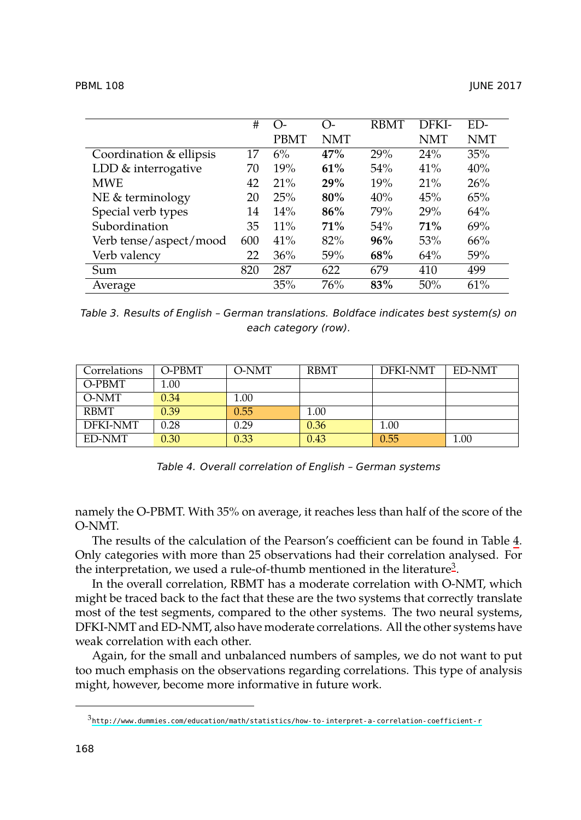<span id="page-9-0"></span>

|                         | #   | $\Omega$ | O-         | <b>RBMT</b> | DFKI- | ED-        |
|-------------------------|-----|----------|------------|-------------|-------|------------|
|                         |     | PBMT     | <b>NMT</b> |             | NMT   | <b>NMT</b> |
| Coordination & ellipsis | 17  | 6%       | 47%        | 29%         | 24%   | 35%        |
| LDD & interrogative     | 70  | 19%      | 61%        | 54%         | 41%   | 40%        |
| <b>MWE</b>              | 42  | 21%      | 29%        | 19%         | 21%   | 26%        |
| NE & terminology        | 20  | 25%      | 80%        | 40%         | 45%   | 65%        |
| Special verb types      | 14  | 14%      | 86%        | 79%         | 29%   | 64%        |
| Subordination           | 35  | $11\%$   | 71%        | 54%         | 71%   | 69%        |
| Verb tense/aspect/mood  | 600 | 41%      | 82%        | 96%         | 53%   | 66%        |
| Verb valency            | 22  | 36%      | 59%        | 68%         | 64%   | 59%        |
| Sum                     | 820 | 287      | 622        | 679         | 410   | 499        |
| Average                 |     | 35%      | 76%        | 83%         | 50%   | 61%        |

*Table 3. Results of English – German translations. Boldface indicates best system(s) on each category (row).*

| Correlations | O-PBMT | O-NMT | <b>RBMT</b> | <b>DFKI-NMT</b> | <b>ED-NMT</b> |
|--------------|--------|-------|-------------|-----------------|---------------|
| O-PBMT       | 1.00   |       |             |                 |               |
| O-NMT        | 0.34   | 1.00  |             |                 |               |
| <b>RBMT</b>  | 0.39   | 0.55  | 1.00        |                 |               |
| DFKI-NMT     | 0.28   | 0.29  | 0.36        | 1.00            |               |
| ED-NMT       | 0.30   | 0.33  | 0.43        | 0.55            | 1.00          |

*Table 4. Overall correlation of English – German systems*

namely the O-PBMT. With 35% on average, it reaches less than half of the score of the O-NMT.

The results of the calculation of the Pearson's coefficient can be found in Table 4. Only categories with more than 25 observations had their correlation analysed. For the interpretation, we used a rule-of-thumb mentioned in the literature<sup>3</sup>.

<span id="page-9-1"></span>[In the overall correlation, RBMT has a moderate correlation with O-NMT](http://www.dummies.com/education/math/statistics/how-to-interpret-a-correlation-coefficient-r), which might be traced back to the fact that these are the two systems that correctly translate most of the test segments, compared to the other systems. The two neural systems, DFKI-NMT and ED-NMT, also have moderate correlations. All the other systems have weak correlation with each other.

Again, for the small and unbalanced numbers of samples, we do not want to put too much emphasis on the observations regarding correlations. This type of analysis might, however, become more informative in future work.

 $^3$ http://www.dummies.com/education/math/statistics/how-to-interpret-a-correlation-coefficient-r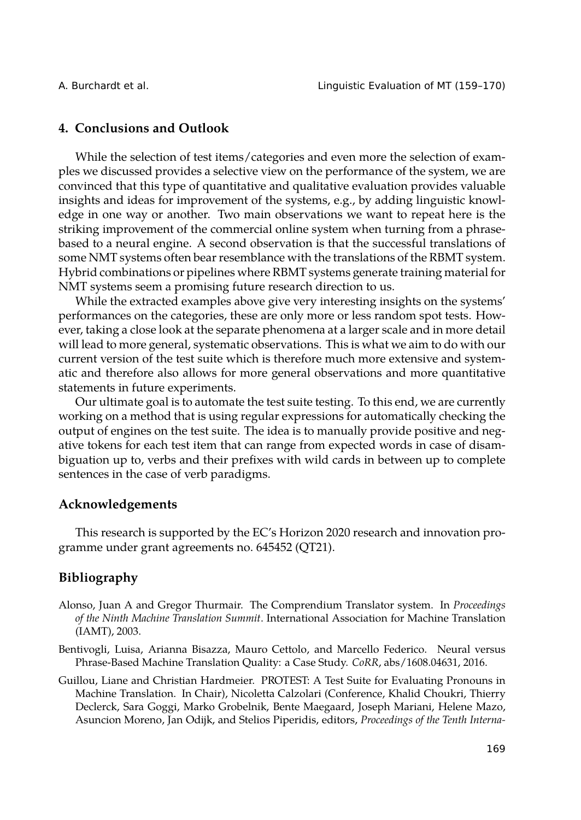## <span id="page-10-2"></span>**4. Conclusions and Outlook**

While the selection of test items/categories and even more the selection of examples we discussed provides a selective view on the performance of the system, we are convinced that this type of quantitative and qualitative evaluation provides valuable insights and ideas for improvement of the systems, e.g., by adding linguistic knowledge in one way or another. Two main observations we want to repeat here is the striking improvement of the commercial online system when turning from a phrasebased to a neural engine. A second observation is that the successful translations of some NMT systems often bear resemblance with the translations of the RBMT system. Hybrid combinations or pipelines where RBMT systems generate training material for NMT systems seem a promising future research direction to us.

While the extracted examples above give very interesting insights on the systems' performances on the categories, these are only more or less random spot tests. However, taking a close look at the separate phenomena at a larger scale and in more detail will lead to more general, systematic observations. This is what we aim to do with our current version of the test suite which is therefore much more extensive and systematic and therefore also allows for more general observations and more quantitative statements in future experiments.

Our ultimate goal is to automate the test suite testing. To this end, we are currently working on a method that is using regular expressions for automatically checking the output of engines on the test suite. The idea is to manually provide positive and negative tokens for each test item that can range from expected words in case of disambiguation up to, verbs and their prefixes with wild cards in between up to complete sentences in the case of verb paradigms.

## **Acknowledgements**

This research is supported by the EC's Horizon 2020 research and innovation programme under grant agreements no. 645452 (QT21).

## **Bibliography**

- <span id="page-10-3"></span>Alonso, Juan A and Gregor Thurmair. The Comprendium Translator system. In *Proceedings of the Ninth Machine Translation Summit*. International Association for Machine Translation (IAMT), 2003.
- <span id="page-10-1"></span>Bentivogli, Luisa, Arianna Bisazza, Mauro Cettolo, and Marcello Federico. Neural versus Phrase-Based Machine Translation Quality: a Case Study. *CoRR*, abs/1608.04631, 2016.
- <span id="page-10-0"></span>Guillou, Liane and Christian Hardmeier. PROTEST: A Test Suite for Evaluating Pronouns in Machine Translation. In Chair), Nicoletta Calzolari (Conference, Khalid Choukri, Thierry Declerck, Sara Goggi, Marko Grobelnik, Bente Maegaard, Joseph Mariani, Helene Mazo, Asuncion Moreno, Jan Odijk, and Stelios Piperidis, editors, *Proceedings of the Tenth Interna-*